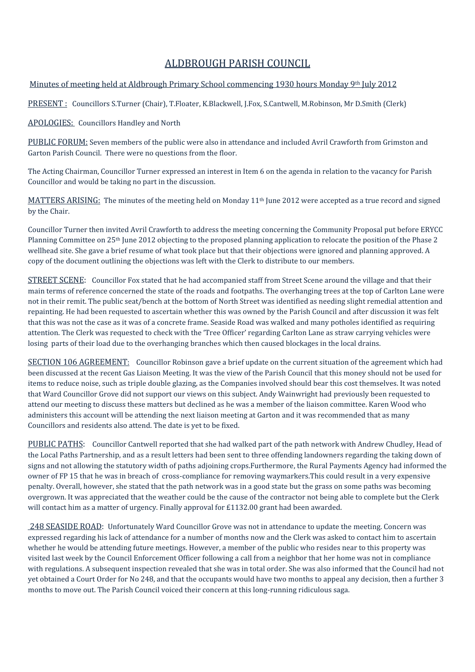# ALDBROUGH PARISH COUNCIL

## Minutes of meeting held at Aldbrough Primary School commencing 1930 hours Monday 9th July 2012

PRESENT: Councillors S.Turner (Chair), T.Floater, K.Blackwell, J.Fox, S.Cantwell, M.Robinson, Mr D.Smith (Clerk)

#### APOLOGIES: Councillors Handley and North

PUBLIC FORUM: Seven members of the public were also in attendance and included Avril Crawforth from Grimston and Garton Parish Council. There were no questions from the floor.

The Acting Chairman, Councillor Turner expressed an interest in Item 6 on the agenda in relation to the vacancy for Parish Councillor and would be taking no part in the discussion.

MATTERS ARISING: The minutes of the meeting held on Monday 11<sup>th</sup> June 2012 were accepted as a true record and signed by the Chair.

Councillor Turner then invited Avril Crawforth to address the meeting concerning the Community Proposal put before ERYCC Planning Committee on 25th June 2012 objecting to the proposed planning application to relocate the position of the Phase 2 wellhead site. She gave a brief resume of what took place but that their objections were ignored and planning approved. A copy of the document outlining the objections was left with the Clerk to distribute to our members.

STREET SCENE: Councillor Fox stated that he had accompanied staff from Street Scene around the village and that their main terms of reference concerned the state of the roads and footpaths. The overhanging trees at the top of Carlton Lane were not in their remit. The public seat/bench at the bottom of North Street was identified as needing slight remedial attention and repainting. He had been requested to ascertain whether this was owned by the Parish Council and after discussion it was felt that this was not the case as it was of a concrete frame. Seaside Road was walked and many potholes identified as requiring attention. The Clerk was requested to check with the 'Tree Officer' regarding Carlton Lane as straw carrying vehicles were losing parts of their load due to the overhanging branches which then caused blockages in the local drains.

SECTION 106 AGREEMENT: Councillor Robinson gave a brief update on the current situation of the agreement which had been discussed at the recent Gas Liaison Meeting. It was the view of the Parish Council that this money should not be used for items to reduce noise, such as triple double glazing, as the Companies involved should bear this cost themselves. It was noted that Ward Councillor Grove did not support our views on this subject. Andy Wainwright had previously been requested to attend our meeting to discuss these matters but declined as he was a member of the liaison committee. Karen Wood who administers this account will be attending the next liaison meeting at Garton and it was recommended that as many Councillors and residents also attend. The date is yet to be fixed.

PUBLIC PATHS: Councillor Cantwell reported that she had walked part of the path network with Andrew Chudley, Head of the Local Paths Partnership, and as a result letters had been sent to three offending landowners regarding the taking down of signs and not allowing the statutory width of paths adjoining crops.Furthermore, the Rural Payments Agency had informed the owner of FP 15 that he was in breach of cross-compliance for removing waymarkers.This could result in a very expensive penalty. Overall, however, she stated that the path network was in a good state but the grass on some paths was becoming overgrown. It was appreciated that the weather could be the cause of the contractor not being able to complete but the Clerk will contact him as a matter of urgency. Finally approval for £1132.00 grant had been awarded.

248 SEASIDE ROAD: Unfortunately Ward Councillor Grove was not in attendance to update the meeting. Concern was expressed regarding his lack of attendance for a number of months now and the Clerk was asked to contact him to ascertain whether he would be attending future meetings. However, a member of the public who resides near to this property was visited last week by the Council Enforcement Officer following a call from a neighbor that her home was not in compliance with regulations. A subsequent inspection revealed that she was in total order. She was also informed that the Council had not yet obtained a Court Order for No 248, and that the occupants would have two months to appeal any decision, then a further 3 months to move out. The Parish Council voiced their concern at this long-running ridiculous saga.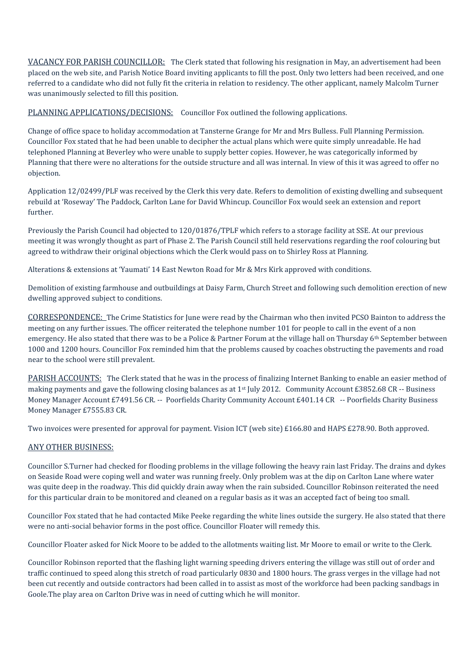VACANCY FOR PARISH COUNCILLOR: The Clerk stated that following his resignation in May, an advertisement had been placed on the web site, and Parish Notice Board inviting applicants to fill the post. Only two letters had been received, and one referred to a candidate who did not fully fit the criteria in relation to residency. The other applicant, namely Malcolm Turner was unanimously selected to fill this position.

PLANNING APPLICATIONS/DECISIONS: Councillor Fox outlined the following applications.

Change of office space to holiday accommodation at Tansterne Grange for Mr and Mrs Bulless. Full Planning Permission. Councillor Fox stated that he had been unable to decipher the actual plans which were quite simply unreadable. He had telephoned Planning at Beverley who were unable to supply better copies. However, he was categorically informed by Planning that there were no alterations for the outside structure and all was internal. In view of this it was agreed to offer no objection.

Application 12/02499/PLF was received by the Clerk this very date. Refers to demolition of existing dwelling and subsequent rebuild at 'Roseway' The Paddock, Carlton Lane for David Whincup. Councillor Fox would seek an extension and report further.

Previously the Parish Council had objected to 120/01876/TPLF which refers to a storage facility at SSE. At our previous meeting it was wrongly thought as part of Phase 2. The Parish Council still held reservations regarding the roof colouring but agreed to withdraw their original objections which the Clerk would pass on to Shirley Ross at Planning.

Alterations & extensions at 'Yaumati' 14 East Newton Road for Mr & Mrs Kirk approved with conditions.

Demolition of existing farmhouse and outbuildings at Daisy Farm, Church Street and following such demolition erection of new dwelling approved subject to conditions.

CORRESPONDENCE: The Crime Statistics for June were read by the Chairman who then invited PCSO Bainton to address the meeting on any further issues. The officer reiterated the telephone number 101 for people to call in the event of a non emergency. He also stated that there was to be a Police & Partner Forum at the village hall on Thursday 6<sup>th</sup> September between 1000 and 1200 hours. Councillor Fox reminded him that the problems caused by coaches obstructing the pavements and road near to the school were still prevalent.

PARISH ACCOUNTS: The Clerk stated that he was in the process of finalizing Internet Banking to enable an easier method of making payments and gave the following closing balances as at  $1<sup>st</sup>$  July 2012. Community Account £3852.68 CR -- Business Money Manager Account £7491.56 CR. -- Poorfields Charity Community Account £401.14 CR -- Poorfields Charity Business Money Manager £7555.83 CR.

Two invoices were presented for approval for payment. Vision ICT (web site) £166.80 and HAPS £278.90. Both approved.

#### ANY OTHER BUSINESS:

Councillor S.Turner had checked for flooding problems in the village following the heavy rain last Friday. The drains and dykes on Seaside Road were coping well and water was running freely. Only problem was at the dip on Carlton Lane where water was quite deep in the roadway. This did quickly drain away when the rain subsided. Councillor Robinson reiterated the need for this particular drain to be monitored and cleaned on a regular basis as it was an accepted fact of being too small.

Councillor Fox stated that he had contacted Mike Peeke regarding the white lines outside the surgery. He also stated that there were no anti-social behavior forms in the post office. Councillor Floater will remedy this.

Councillor Floater asked for Nick Moore to be added to the allotments waiting list. Mr Moore to email or write to the Clerk.

Councillor Robinson reported that the flashing light warning speeding drivers entering the village was still out of order and traffic continued to speed along this stretch of road particularly 0830 and 1800 hours. The grass verges in the village had not been cut recently and outside contractors had been called in to assist as most of the workforce had been packing sandbags in Goole.The play area on Carlton Drive was in need of cutting which he will monitor.